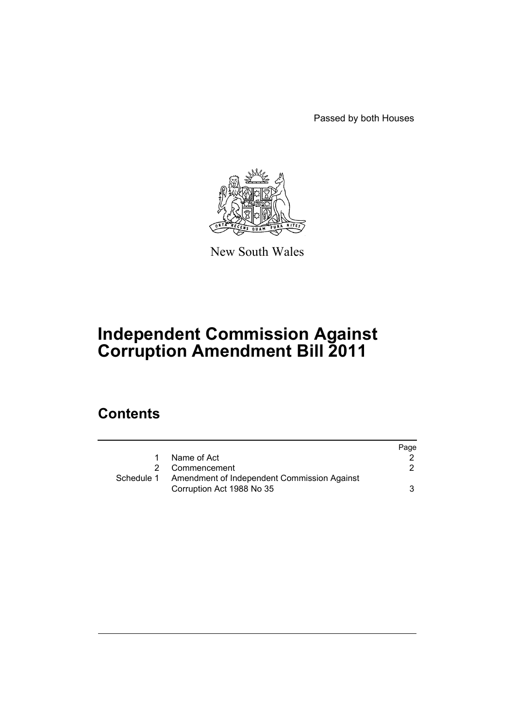Passed by both Houses



New South Wales

# **Independent Commission Against Corruption Amendment Bill 2011**

## **Contents**

|                                             | Page |
|---------------------------------------------|------|
| Name of Act                                 |      |
| Commencement                                |      |
| Amendment of Independent Commission Against |      |
| Corruption Act 1988 No 35                   | 3    |
|                                             |      |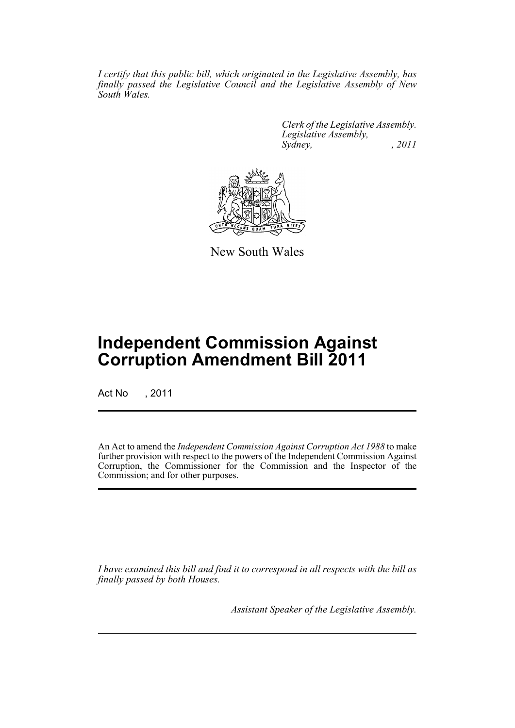*I certify that this public bill, which originated in the Legislative Assembly, has finally passed the Legislative Council and the Legislative Assembly of New South Wales.*

> *Clerk of the Legislative Assembly. Legislative Assembly, Sydney, , 2011*



New South Wales

## **Independent Commission Against Corruption Amendment Bill 2011**

Act No , 2011

An Act to amend the *Independent Commission Against Corruption Act 1988* to make further provision with respect to the powers of the Independent Commission Against Corruption, the Commissioner for the Commission and the Inspector of the Commission; and for other purposes.

*I have examined this bill and find it to correspond in all respects with the bill as finally passed by both Houses.*

*Assistant Speaker of the Legislative Assembly.*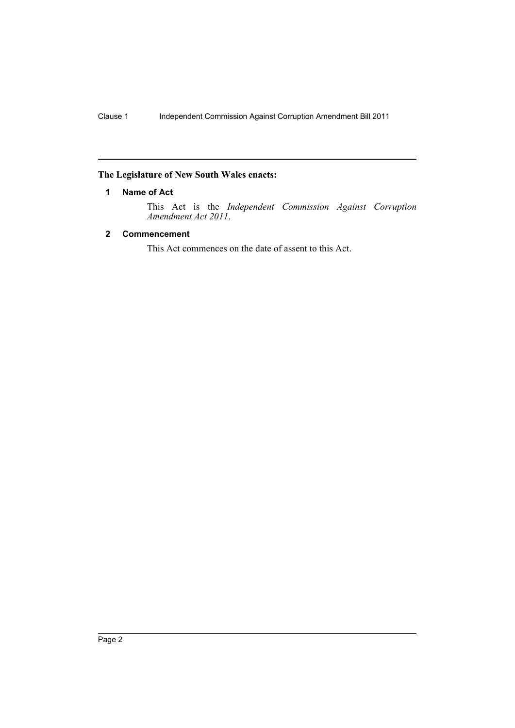## <span id="page-3-0"></span>**The Legislature of New South Wales enacts:**

## **1 Name of Act**

This Act is the *Independent Commission Against Corruption Amendment Act 2011*.

### <span id="page-3-1"></span>**2 Commencement**

This Act commences on the date of assent to this Act.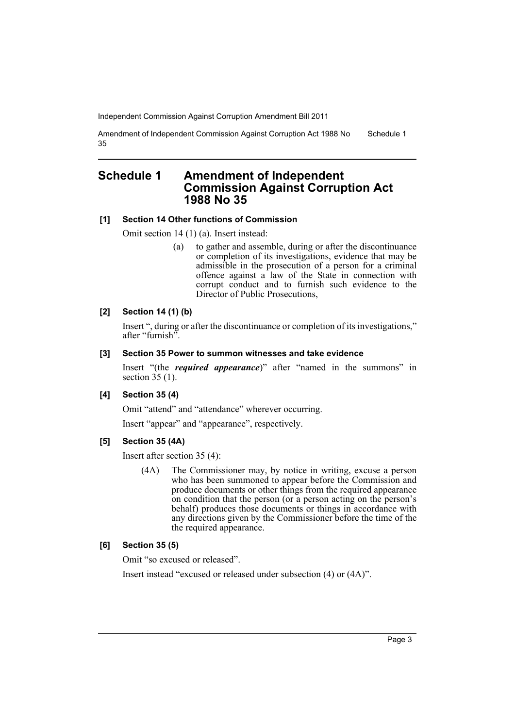Amendment of Independent Commission Against Corruption Act 1988 No 35 Schedule 1

## <span id="page-4-0"></span>**Schedule 1 Amendment of Independent Commission Against Corruption Act 1988 No 35**

#### **[1] Section 14 Other functions of Commission**

Omit section 14 (1) (a). Insert instead:

(a) to gather and assemble, during or after the discontinuance or completion of its investigations, evidence that may be admissible in the prosecution of a person for a criminal offence against a law of the State in connection with corrupt conduct and to furnish such evidence to the Director of Public Prosecutions,

#### **[2] Section 14 (1) (b)**

Insert ", during or after the discontinuance or completion of its investigations," after "furnish".

#### **[3] Section 35 Power to summon witnesses and take evidence**

Insert "(the *required appearance*)" after "named in the summons" in section  $35(1)$ .

#### **[4] Section 35 (4)**

Omit "attend" and "attendance" wherever occurring.

Insert "appear" and "appearance", respectively.

#### **[5] Section 35 (4A)**

Insert after section 35 (4):

(4A) The Commissioner may, by notice in writing, excuse a person who has been summoned to appear before the Commission and produce documents or other things from the required appearance on condition that the person (or a person acting on the person's behalf) produces those documents or things in accordance with any directions given by the Commissioner before the time of the the required appearance.

### **[6] Section 35 (5)**

Omit "so excused or released".

Insert instead "excused or released under subsection (4) or (4A)".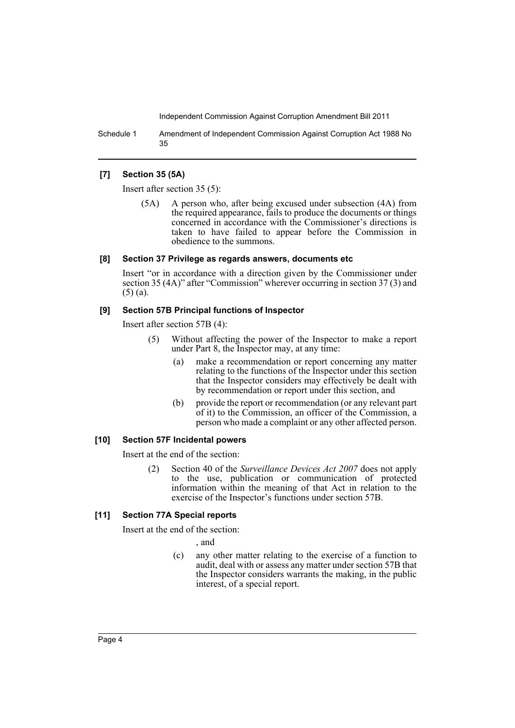Schedule 1 Amendment of Independent Commission Against Corruption Act 1988 No 35

#### **[7] Section 35 (5A)**

Insert after section 35 (5):

(5A) A person who, after being excused under subsection (4A) from the required appearance, fails to produce the documents or things concerned in accordance with the Commissioner's directions is taken to have failed to appear before the Commission in obedience to the summons.

#### **[8] Section 37 Privilege as regards answers, documents etc**

Insert "or in accordance with a direction given by the Commissioner under section 35 (4A)" after "Commission" wherever occurring in section 37 (3) and (5) (a).

#### **[9] Section 57B Principal functions of Inspector**

Insert after section 57B (4):

- (5) Without affecting the power of the Inspector to make a report under Part 8, the Inspector may, at any time:
	- (a) make a recommendation or report concerning any matter relating to the functions of the Inspector under this section that the Inspector considers may effectively be dealt with by recommendation or report under this section, and
	- (b) provide the report or recommendation (or any relevant part of it) to the Commission, an officer of the Commission, a person who made a complaint or any other affected person.

#### **[10] Section 57F Incidental powers**

Insert at the end of the section:

(2) Section 40 of the *Surveillance Devices Act 2007* does not apply to the use, publication or communication of protected information within the meaning of that Act in relation to the exercise of the Inspector's functions under section 57B.

## **[11] Section 77A Special reports**

Insert at the end of the section:

, and

(c) any other matter relating to the exercise of a function to audit, deal with or assess any matter under section 57B that the Inspector considers warrants the making, in the public interest, of a special report.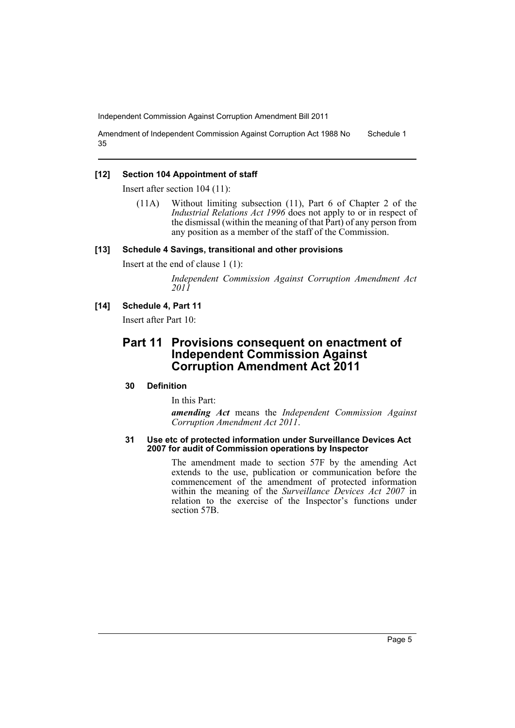Amendment of Independent Commission Against Corruption Act 1988 No 35 Schedule 1

#### **[12] Section 104 Appointment of staff**

Insert after section 104 (11):

(11A) Without limiting subsection (11), Part 6 of Chapter 2 of the *Industrial Relations Act 1996* does not apply to or in respect of the dismissal (within the meaning of that Part) of any person from any position as a member of the staff of the Commission.

#### **[13] Schedule 4 Savings, transitional and other provisions**

Insert at the end of clause 1 (1):

*Independent Commission Against Corruption Amendment Act 2011*

#### **[14] Schedule 4, Part 11**

Insert after Part 10:

## **Part 11 Provisions consequent on enactment of Independent Commission Against Corruption Amendment Act 2011**

#### **30 Definition**

In this Part:

*amending Act* means the *Independent Commission Against Corruption Amendment Act 2011*.

#### **31 Use etc of protected information under Surveillance Devices Act 2007 for audit of Commission operations by Inspector**

The amendment made to section 57F by the amending Act extends to the use, publication or communication before the commencement of the amendment of protected information within the meaning of the *Surveillance Devices Act 2007* in relation to the exercise of the Inspector's functions under section 57B.